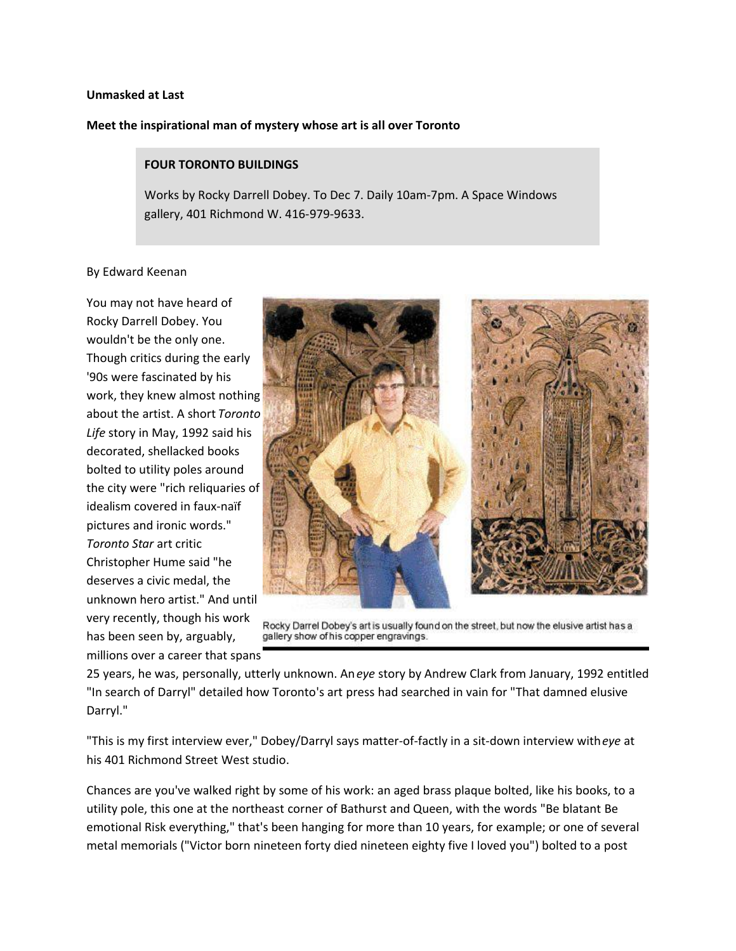## **Unmasked at Last**

## **Meet the inspirational man of mystery whose art is all over Toronto**

## **FOUR TORONTO BUILDINGS**

Works by Rocky Darrell Dobey. To Dec 7. Daily 10am-7pm. A Space Windows gallery, 401 Richmond W. 416-979-9633.

## By Edward Keenan

You may not have heard of Rocky Darrell Dobey. You wouldn't be the only one. Though critics during the early '90s were fascinated by his work, they knew almost nothing about the artist. A short *Toronto Life* story in May, 1992 said his decorated, shellacked books bolted to utility poles around the city were "rich reliquaries of idealism covered in faux-naïf pictures and ironic words." *Toronto Star* art critic Christopher Hume said "he deserves a civic medal, the unknown hero artist." And until very recently, though his work has been seen by, arguably, millions over a career that spans



Rocky Darrel Dobey's art is usually found on the street, but now the elusive artist has a gallery show of his copper engravings.

25 years, he was, personally, utterly unknown. An *eye* story by Andrew Clark from January, 1992 entitled "In search of Darryl" detailed how Toronto's art press had searched in vain for "That damned elusive Darryl."

"This is my first interview ever," Dobey/Darryl says matter-of-factly in a sit-down interview with *eye* at his 401 Richmond Street West studio.

Chances are you've walked right by some of his work: an aged brass plaque bolted, like his books, to a utility pole, this one at the northeast corner of Bathurst and Queen, with the words "Be blatant Be emotional Risk everything," that's been hanging for more than 10 years, for example; or one of several metal memorials ("Victor born nineteen forty died nineteen eighty five I loved you") bolted to a post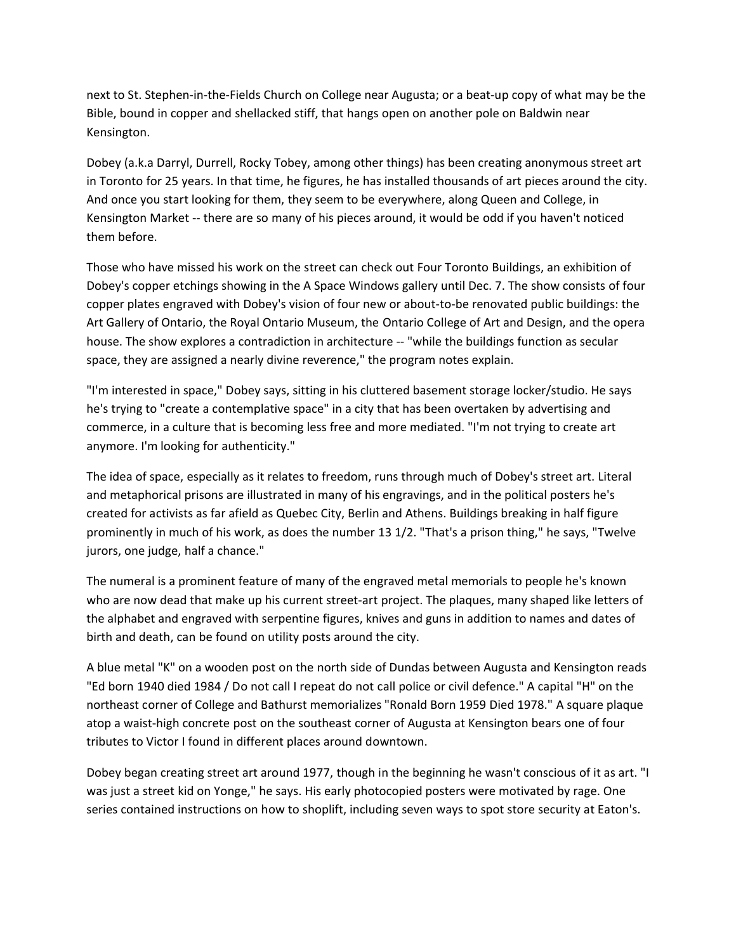next to St. Stephen-in-the-Fields Church on College near Augusta; or a beat-up copy of what may be the Bible, bound in copper and shellacked stiff, that hangs open on another pole on Baldwin near Kensington.

Dobey (a.k.a Darryl, Durrell, Rocky Tobey, among other things) has been creating anonymous street art in Toronto for 25 years. In that time, he figures, he has installed thousands of art pieces around the city. And once you start looking for them, they seem to be everywhere, along Queen and College, in Kensington Market -- there are so many of his pieces around, it would be odd if you haven't noticed them before.

Those who have missed his work on the street can check out Four Toronto Buildings, an exhibition of Dobey's copper etchings showing in the A Space Windows gallery until Dec. 7. The show consists of four copper plates engraved with Dobey's vision of four new or about-to-be renovated public buildings: the Art Gallery of Ontario, the Royal Ontario Museum, the Ontario College of Art and Design, and the opera house. The show explores a contradiction in architecture -- "while the buildings function as secular space, they are assigned a nearly divine reverence," the program notes explain.

"I'm interested in space," Dobey says, sitting in his cluttered basement storage locker/studio. He says he's trying to "create a contemplative space" in a city that has been overtaken by advertising and commerce, in a culture that is becoming less free and more mediated. "I'm not trying to create art anymore. I'm looking for authenticity."

The idea of space, especially as it relates to freedom, runs through much of Dobey's street art. Literal and metaphorical prisons are illustrated in many of his engravings, and in the political posters he's created for activists as far afield as Quebec City, Berlin and Athens. Buildings breaking in half figure prominently in much of his work, as does the number 13 1/2. "That's a prison thing," he says, "Twelve jurors, one judge, half a chance."

The numeral is a prominent feature of many of the engraved metal memorials to people he's known who are now dead that make up his current street-art project. The plaques, many shaped like letters of the alphabet and engraved with serpentine figures, knives and guns in addition to names and dates of birth and death, can be found on utility posts around the city.

A blue metal "K" on a wooden post on the north side of Dundas between Augusta and Kensington reads "Ed born 1940 died 1984 / Do not call I repeat do not call police or civil defence." A capital "H" on the northeast corner of College and Bathurst memorializes "Ronald Born 1959 Died 1978." A square plaque atop a waist-high concrete post on the southeast corner of Augusta at Kensington bears one of four tributes to Victor I found in different places around downtown.

Dobey began creating street art around 1977, though in the beginning he wasn't conscious of it as art. "I was just a street kid on Yonge," he says. His early photocopied posters were motivated by rage. One series contained instructions on how to shoplift, including seven ways to spot store security at Eaton's.